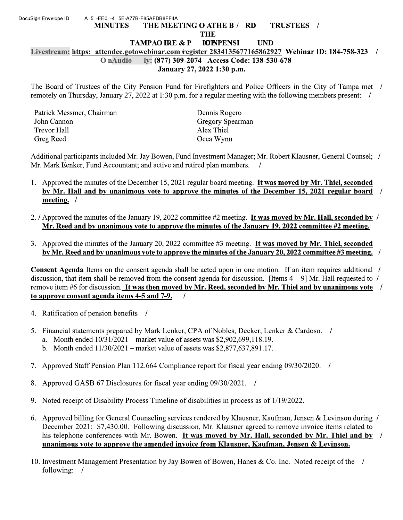## A 5-EE0 -4 5E-A77B-F85AFDB8FF4A DocuSign Envelope ID THE MEETING O ATHE B / RD TRUSTEES / **MINUTES THE TAMPAO IRE & P IOENPENSI UND** Livestream: https: attendee.gotowebinar.com/register 2834135677165862927 Webinar ID: 184-758-323 / O nAudio ly: (877) 309-2074 Access Code: 138-530-678 January 27, 2022 1:30 p.m.

The Board of Trustees of the City Pension Fund for Firefighters and Police Officers in the City of Tampa met / remotely on Thursday, January 27, 2022 at 1:30 p.m. for a regular meeting with the following members present:

| Patrick Messmer, Chairman | Dennis Rogero           |
|---------------------------|-------------------------|
| John Cannon               | <b>Gregory Spearman</b> |
| Trevor Hall               | Alex Thiel              |
| Greg Reed                 | Ocea Wynn               |
|                           |                         |

Additional participants included Mr. Jay Bowen, Fund Investment Manager; Mr. Robert Klausner, General Counsel; / Mr. Mark Lenker, Fund Accountant; and active and retired plan members. /

- 1. Approved the minutes of the December 15, 2021 regular board meeting. It was moved by Mr. Thiel, seconded by Mr. Hall and by unanimous vote to approve the minutes of the December 15, 2021 regular board  $\overline{\phantom{a}}$ meeting. /
- 2. / Approved the minutes of the January 19, 2022 committee #2 meeting. It was moved by Mr. Hall, seconded by / Mr. Reed and by unanimous vote to approve the minutes of the January 19, 2022 committee #2 meeting.
- 3. Approved the minutes of the January 20, 2022 committee #3 meeting. It was moved by Mr. Thiel, seconded by Mr. Reed and by unanimous vote to approve the minutes of the January 20, 2022 committee #3 meeting. /

**Consent Agenda** Items on the consent agenda shall be acted upon in one motion. If an item requires additional / discussion, that item shall be removed from the consent agenda for discussion. [Items  $4 - 9$ ] Mr. Hall requested to / remove item #6 for discussion. It was then moved by Mr. Reed, seconded by Mr. Thiel and by unanimous vote  $\ell$ to approve consent agenda items 4-5 and 7-9.  $\prime$ 

- 4. Ratification of pension benefits /
- 5. Financial statements prepared by Mark Lenker, CPA of Nobles, Decker, Lenker & Cardoso. /
	- a. Month ended  $10/31/2021$  market value of assets was \$2,902,699,118.19.
	- b. Month ended  $11/30/2021$  market value of assets was \$2,877,637,891.17.
- 7. Approved Staff Pension Plan 112.664 Compliance report for fiscal year ending 09/30/2020.
- Approved GASB 67 Disclosures for fiscal year ending 09/30/2021. / 8.
- 9. Noted receipt of Disability Process Timeline of disabilities in process as of 1/19/2022.
- 6. Approved billing for General Counseling services rendered by Klausner, Kaufman, Jensen & Levinson during / December 2021: \$7,430.00. Following discussion, Mr. Klausner agreed to remove invoice items related to his telephone conferences with Mr. Bowen. It was moved by Mr. Hall, seconded by Mr. Thiel and by / unanimous vote to approve the amended invoice from Klausner, Kaufman, Jensen & Levinson.
- 10. Investment Management Presentation by Jay Bowen of Bowen, Hanes & Co. Inc. Noted receipt of the / following: /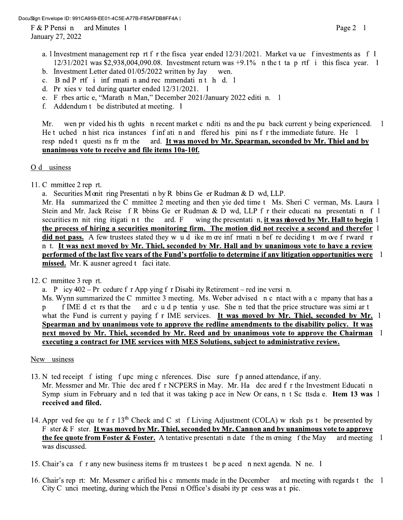DocuSign Envelope ID: 991CA959-EE01-4C5E-A77B-F85AFDB8FF4A I

 $F & P$  Pensin ard Minutes 1 January 27, 2022

- b. Investment Letter dated  $01/05/2022$  written by Jay wen.
- c. B nd P rtf i inf rmati n and rec mmendati n t h d. 1
- d. Pr xies v ted during quarter ended  $12/31/2021$ . 1
- e. F rbes artic e, "Marath n Man," December 2021/January 2022 editi n. 1
- f. Addendum t be distributed at meeting. 1

wen pr vided his th ughts n recent market c nditi ns and the pu back current y being experienced. Mr.  $\overline{1}$ He t uched n hist rica instances f inf ati n and ffered his pini ns f r the immediate future. He 1 ard. It was moved by Mr. Spearman, seconded by Mr. Thiel and by resp nded t questi ns fr m the unanimous vote to receive and file items 10a-10f.

## O d usiness

11. C mmittee 2 rep rt.

a. Securities Monit ring Presentati n by R bbins Ge er Rudman & D wd, LLP.

Mr. Ha summarized the C mmittee 2 meeting and then yie ded time t Ms. Sheri C verman, Ms. Laura 1 Stein and Mr. Jack Reise f R bbins Ge er Rudman & D wd, LLP f r their educati na presentati n f 1 securities m nit ring itigati n t the ard. F wing the presentati n, it was noved by Mr. Hall to begin 1 the process of hiring a securities monitoring firm. The motion did not receive a second and therefor 1 did not pass. A few trustees stated they w u d ike m ore inf rmati n bef re deciding t m ove f rward r n t. It was next moved by Mr. Thiel, seconded by Mr. Hall and by unanimous vote to have a review performed of the last five years of the Fund's portfolio to determine if any litigation opportunities were 1 missed. Mr. K ausner agreed t faci itate.

12. C mmittee 3 rep rt.

a. P icy  $402 - Pr$  cedure f r App ying f r Disabi ity Retirement – red ine versi n.

Ms. Wynn summarized the C mmittee 3 meeting. Ms. Weber advised n c ntact with a c mpany that has a ard c u d p tentia y use. She n ted that the price structure was simi ar t f IME d ct rs that the  $p$ what the Fund is current y paying f r IME services. It was moved by Mr. Thiel, seconded by Mr. 1 Spearman and by unanimous vote to approve the redline amendments to the disability policy. It was next moved by Mr. Thiel, seconded by Mr. Reed and by unanimous vote to approve the Chairman 1 executing a contract for IME services with MES Solutions, subject to administrative review.

## New usiness

- 13. N ted receipt f isting f upc ming c nferences. Disc sure f p anned attendance, if any. Mr. Messmer and Mr. Thie dec ared f r NCPERS in May. Mr. Ha dec ared f r the Investment Educati n Symp sium in February and n ted that it was taking p ace in New Or eans, n t Sc ttsda e. Item 13 was 1 received and filed.
- 14. Appr ved fee qu te f r  $13<sup>th</sup>$  Check and C st f Living Adjustment (COLA) w rksh ps t be presented by F ster & F ster. It was moved by Mr. Thiel, seconded by Mr. Cannon and by unanimous vote to approve the fee quote from Foster & Foster. A tentative presentati n date f the m criming f the May ard meeting 1 was discussed.
- 15. Chair's ca f r any new business items fr m trustees t be p aced n next agenda. N ne. 1
- 16. Chair's rep rt: Mr. Messmer c arified his c mments made in the December ard meeting with regards t the 1 City C unci meeting, during which the Pensi n Office's disabi ity pr cess was a t pic.